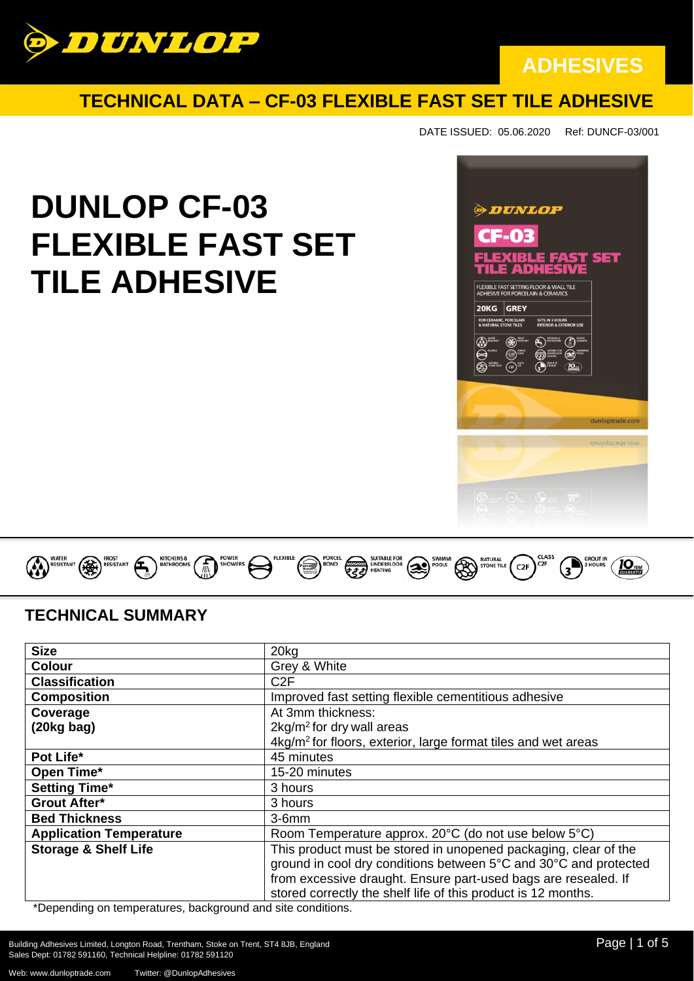

### **TECHNICAL DATA – CF-03 FLEXIBLE FAST SET TILE ADHESIVE**

DATE ISSUED: 05.06.2020 Ref: DUNCF-03/001

# **DUNLOP CF-03 FLEXIBLE FAST SET TILE ADHESIVE**





### **TECHNICAL SUMMARY**

| <b>Size</b>                                                                                                            | 20 <sub>k</sub> g                                                         |
|------------------------------------------------------------------------------------------------------------------------|---------------------------------------------------------------------------|
| <b>Colour</b>                                                                                                          | Grey & White                                                              |
| <b>Classification</b>                                                                                                  | C <sub>2</sub> F                                                          |
| <b>Composition</b>                                                                                                     | Improved fast setting flexible cementitious adhesive                      |
| Coverage                                                                                                               | At 3mm thickness:                                                         |
| $(20kg$ bag)                                                                                                           | $2kg/m2$ for dry wall areas                                               |
|                                                                                                                        | 4kg/m <sup>2</sup> for floors, exterior, large format tiles and wet areas |
| Pot Life*                                                                                                              | 45 minutes                                                                |
| Open Time*                                                                                                             | 15-20 minutes                                                             |
| <b>Setting Time*</b>                                                                                                   | 3 hours                                                                   |
| <b>Grout After*</b>                                                                                                    | 3 hours                                                                   |
| <b>Bed Thickness</b>                                                                                                   | $3-6mm$                                                                   |
| <b>Application Temperature</b>                                                                                         | Room Temperature approx. 20°C (do not use below 5°C)                      |
| <b>Storage &amp; Shelf Life</b>                                                                                        | This product must be stored in unopened packaging, clear of the           |
|                                                                                                                        | ground in cool dry conditions between 5°C and 30°C and protected          |
|                                                                                                                        | from excessive draught. Ensure part-used bags are resealed. If            |
| the contract of the contract of the contract of the contract of the contract of the contract of the contract of<br>$+$ | stored correctly the shelf life of this product is 12 months.             |

\*Depending on temperatures, background and site conditions.

Building Adhesives Limited, Longton Road, Trentham, Stoke on Trent, ST4 8JB, England Page 1 and Page | 1 of 5 Sales Dept: 01782 591160, Technical Helpline: 01782 591120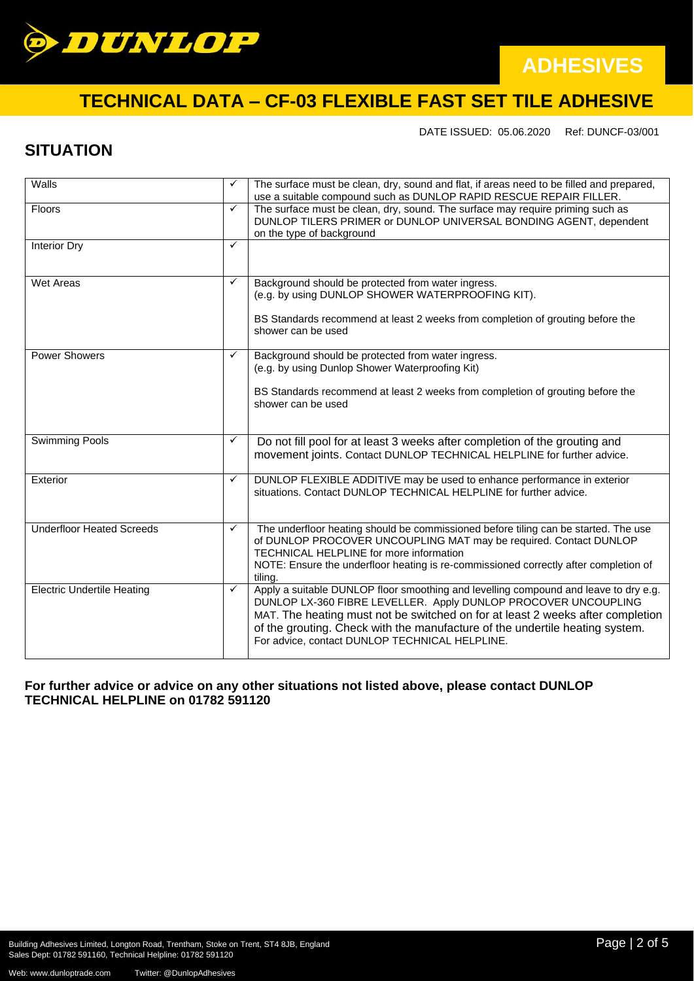

# **TECHNICAL DATA – CF-03 FLEXIBLE FAST SET TILE ADHESIVE**

DATE ISSUED: 05.06.2020 Ref: DUNCF-03/001

### **SITUATION**

| Walls                             | ✓ | The surface must be clean, dry, sound and flat, if areas need to be filled and prepared,<br>use a suitable compound such as DUNLOP RAPID RESCUE REPAIR FILLER.                                                                                                                                                                                                             |
|-----------------------------------|---|----------------------------------------------------------------------------------------------------------------------------------------------------------------------------------------------------------------------------------------------------------------------------------------------------------------------------------------------------------------------------|
| Floors                            | ✓ | The surface must be clean, dry, sound. The surface may require priming such as<br>DUNLOP TILERS PRIMER or DUNLOP UNIVERSAL BONDING AGENT, dependent<br>on the type of background                                                                                                                                                                                           |
| <b>Interior Dry</b>               | ✓ |                                                                                                                                                                                                                                                                                                                                                                            |
| Wet Areas                         | ✓ | Background should be protected from water ingress.<br>(e.g. by using DUNLOP SHOWER WATERPROOFING KIT).<br>BS Standards recommend at least 2 weeks from completion of grouting before the<br>shower can be used                                                                                                                                                             |
| <b>Power Showers</b>              | ✓ | Background should be protected from water ingress.<br>(e.g. by using Dunlop Shower Waterproofing Kit)<br>BS Standards recommend at least 2 weeks from completion of grouting before the<br>shower can be used                                                                                                                                                              |
| <b>Swimming Pools</b>             | ✓ | Do not fill pool for at least 3 weeks after completion of the grouting and<br>movement joints. Contact DUNLOP TECHNICAL HELPLINE for further advice.                                                                                                                                                                                                                       |
| Exterior                          | ✓ | DUNLOP FLEXIBLE ADDITIVE may be used to enhance performance in exterior<br>situations. Contact DUNLOP TECHNICAL HELPLINE for further advice.                                                                                                                                                                                                                               |
| <b>Underfloor Heated Screeds</b>  | ✓ | The underfloor heating should be commissioned before tiling can be started. The use<br>of DUNLOP PROCOVER UNCOUPLING MAT may be required. Contact DUNLOP<br>TECHNICAL HELPLINE for more information<br>NOTE: Ensure the underfloor heating is re-commissioned correctly after completion of<br>tiling.                                                                     |
| <b>Electric Undertile Heating</b> | ✓ | Apply a suitable DUNLOP floor smoothing and levelling compound and leave to dry e.g.<br>DUNLOP LX-360 FIBRE LEVELLER. Apply DUNLOP PROCOVER UNCOUPLING<br>MAT. The heating must not be switched on for at least 2 weeks after completion<br>of the grouting. Check with the manufacture of the undertile heating system.<br>For advice, contact DUNLOP TECHNICAL HELPLINE. |

### **For further advice or advice on any other situations not listed above, please contact DUNLOP TECHNICAL HELPLINE on 01782 591120**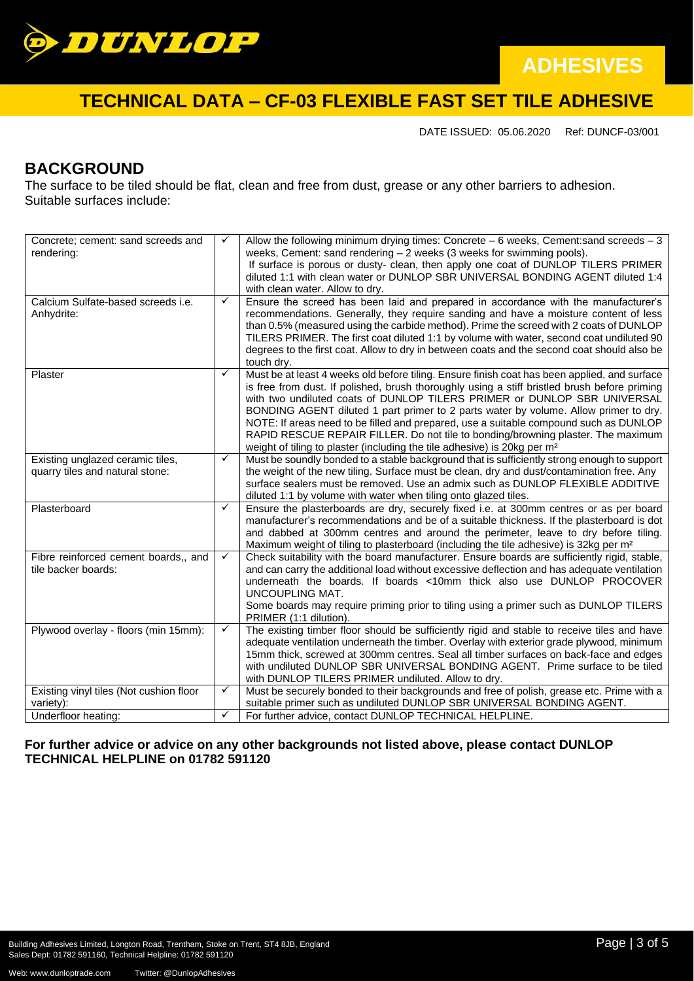

## **TECHNICAL DATA – CF-03 FLEXIBLE FAST SET TILE ADHESIVE**

DATE ISSUED: 05.06.2020 Ref: DUNCF-03/001

### **BACKGROUND**

The surface to be tiled should be flat, clean and free from dust, grease or any other barriers to adhesion. Suitable surfaces include:

| Concrete; cement: sand screeds and<br>rendering:                    | ✓            | Allow the following minimum drying times: Concrete $-6$ weeks, Cement: sand screeds $-3$<br>weeks, Cement: sand rendering - 2 weeks (3 weeks for swimming pools).<br>If surface is porous or dusty- clean, then apply one coat of DUNLOP TILERS PRIMER<br>diluted 1:1 with clean water or DUNLOP SBR UNIVERSAL BONDING AGENT diluted 1:4<br>with clean water. Allow to dry.                                                                                                                                                                                                                                                           |
|---------------------------------------------------------------------|--------------|---------------------------------------------------------------------------------------------------------------------------------------------------------------------------------------------------------------------------------------------------------------------------------------------------------------------------------------------------------------------------------------------------------------------------------------------------------------------------------------------------------------------------------------------------------------------------------------------------------------------------------------|
| Calcium Sulfate-based screeds i.e.<br>Anhydrite:                    | $\checkmark$ | Ensure the screed has been laid and prepared in accordance with the manufacturer's<br>recommendations. Generally, they require sanding and have a moisture content of less<br>than 0.5% (measured using the carbide method). Prime the screed with 2 coats of DUNLOP<br>TILERS PRIMER. The first coat diluted 1:1 by volume with water, second coat undiluted 90<br>degrees to the first coat. Allow to dry in between coats and the second coat should also be<br>touch dry.                                                                                                                                                         |
| Plaster                                                             | $\checkmark$ | Must be at least 4 weeks old before tiling. Ensure finish coat has been applied, and surface<br>is free from dust. If polished, brush thoroughly using a stiff bristled brush before priming<br>with two undiluted coats of DUNLOP TILERS PRIMER or DUNLOP SBR UNIVERSAL<br>BONDING AGENT diluted 1 part primer to 2 parts water by volume. Allow primer to dry.<br>NOTE: If areas need to be filled and prepared, use a suitable compound such as DUNLOP<br>RAPID RESCUE REPAIR FILLER. Do not tile to bonding/browning plaster. The maximum<br>weight of tiling to plaster (including the tile adhesive) is 20kg per m <sup>2</sup> |
| Existing unglazed ceramic tiles,<br>quarry tiles and natural stone: | $\checkmark$ | Must be soundly bonded to a stable background that is sufficiently strong enough to support<br>the weight of the new tiling. Surface must be clean, dry and dust/contamination free. Any<br>surface sealers must be removed. Use an admix such as DUNLOP FLEXIBLE ADDITIVE<br>diluted 1:1 by volume with water when tiling onto glazed tiles.                                                                                                                                                                                                                                                                                         |
| Plasterboard                                                        | ✓            | Ensure the plasterboards are dry, securely fixed i.e. at 300mm centres or as per board<br>manufacturer's recommendations and be of a suitable thickness. If the plasterboard is dot<br>and dabbed at 300mm centres and around the perimeter, leave to dry before tiling.<br>Maximum weight of tiling to plasterboard (including the tile adhesive) is 32kg per m <sup>2</sup>                                                                                                                                                                                                                                                         |
| Fibre reinforced cement boards,, and<br>tile backer boards:         | $\checkmark$ | Check suitability with the board manufacturer. Ensure boards are sufficiently rigid, stable,<br>and can carry the additional load without excessive deflection and has adequate ventilation<br>underneath the boards. If boards <10mm thick also use DUNLOP PROCOVER<br>UNCOUPLING MAT.<br>Some boards may require priming prior to tiling using a primer such as DUNLOP TILERS<br>PRIMER (1:1 dilution).                                                                                                                                                                                                                             |
| Plywood overlay - floors (min 15mm):                                | $\checkmark$ | The existing timber floor should be sufficiently rigid and stable to receive tiles and have<br>adequate ventilation underneath the timber. Overlay with exterior grade plywood, minimum<br>15mm thick, screwed at 300mm centres. Seal all timber surfaces on back-face and edges<br>with undiluted DUNLOP SBR UNIVERSAL BONDING AGENT. Prime surface to be tiled<br>with DUNLOP TILERS PRIMER undiluted. Allow to dry.                                                                                                                                                                                                                |
| Existing vinyl tiles (Not cushion floor<br>variety):                | ✓            | Must be securely bonded to their backgrounds and free of polish, grease etc. Prime with a<br>suitable primer such as undiluted DUNLOP SBR UNIVERSAL BONDING AGENT.                                                                                                                                                                                                                                                                                                                                                                                                                                                                    |
| Underfloor heating:                                                 | $\checkmark$ | For further advice, contact DUNLOP TECHNICAL HELPLINE.                                                                                                                                                                                                                                                                                                                                                                                                                                                                                                                                                                                |

### **For further advice or advice on any other backgrounds not listed above, please contact DUNLOP TECHNICAL HELPLINE on 01782 591120**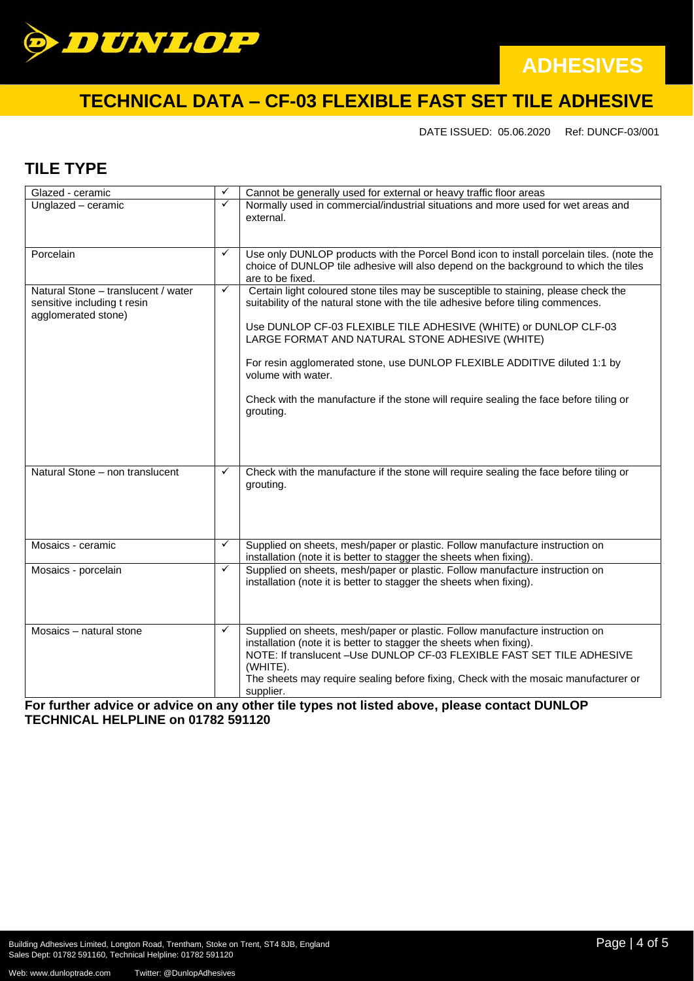

# **TECHNICAL DATA – CF-03 FLEXIBLE FAST SET TILE ADHESIVE**

DATE ISSUED: 05.06.2020 Ref: DUNCF-03/001

### **TILE TYPE**

| Glazed - ceramic                                                                          | ✓            | Cannot be generally used for external or heavy traffic floor areas                                                                                                                                                                                                                                                                                                                                                                                                                          |
|-------------------------------------------------------------------------------------------|--------------|---------------------------------------------------------------------------------------------------------------------------------------------------------------------------------------------------------------------------------------------------------------------------------------------------------------------------------------------------------------------------------------------------------------------------------------------------------------------------------------------|
| Unglazed - ceramic                                                                        | $\checkmark$ | Normally used in commercial/industrial situations and more used for wet areas and<br>external.                                                                                                                                                                                                                                                                                                                                                                                              |
| Porcelain                                                                                 | $\checkmark$ | Use only DUNLOP products with the Porcel Bond icon to install porcelain tiles. (note the<br>choice of DUNLOP tile adhesive will also depend on the background to which the tiles<br>are to be fixed.                                                                                                                                                                                                                                                                                        |
| Natural Stone - translucent / water<br>sensitive including t resin<br>agglomerated stone) | $\checkmark$ | Certain light coloured stone tiles may be susceptible to staining, please check the<br>suitability of the natural stone with the tile adhesive before tiling commences.<br>Use DUNLOP CF-03 FLEXIBLE TILE ADHESIVE (WHITE) or DUNLOP CLF-03<br>LARGE FORMAT AND NATURAL STONE ADHESIVE (WHITE)<br>For resin agglomerated stone, use DUNLOP FLEXIBLE ADDITIVE diluted 1:1 by<br>volume with water.<br>Check with the manufacture if the stone will require sealing the face before tiling or |
| Natural Stone - non translucent                                                           | ✓            | grouting.                                                                                                                                                                                                                                                                                                                                                                                                                                                                                   |
|                                                                                           |              | Check with the manufacture if the stone will require sealing the face before tiling or<br>grouting.                                                                                                                                                                                                                                                                                                                                                                                         |
| Mosaics - ceramic                                                                         | $\checkmark$ | Supplied on sheets, mesh/paper or plastic. Follow manufacture instruction on<br>installation (note it is better to stagger the sheets when fixing).                                                                                                                                                                                                                                                                                                                                         |
| Mosaics - porcelain                                                                       | $\checkmark$ | Supplied on sheets, mesh/paper or plastic. Follow manufacture instruction on<br>installation (note it is better to stagger the sheets when fixing).                                                                                                                                                                                                                                                                                                                                         |
| Mosaics - natural stone                                                                   | $\checkmark$ | Supplied on sheets, mesh/paper or plastic. Follow manufacture instruction on<br>installation (note it is better to stagger the sheets when fixing).<br>NOTE: If translucent - Use DUNLOP CF-03 FLEXIBLE FAST SET TILE ADHESIVE<br>(WHITE).<br>The sheets may require sealing before fixing, Check with the mosaic manufacturer or<br>supplier.<br><b><i>CALLED AT LACKAGE</i></b><br>$\mathbf{A}$ and $\mathbf{A}$ and $\mathbf{A}$<br>$\overline{a}$ - $\overline{a}$ - $\overline{a}$     |

**For further advice or advice on any other tile types not listed above, please contact DUNLOP TECHNICAL HELPLINE on 01782 591120**

Web: www.dunloptrade.com Twitter: @DunlopAdhesives